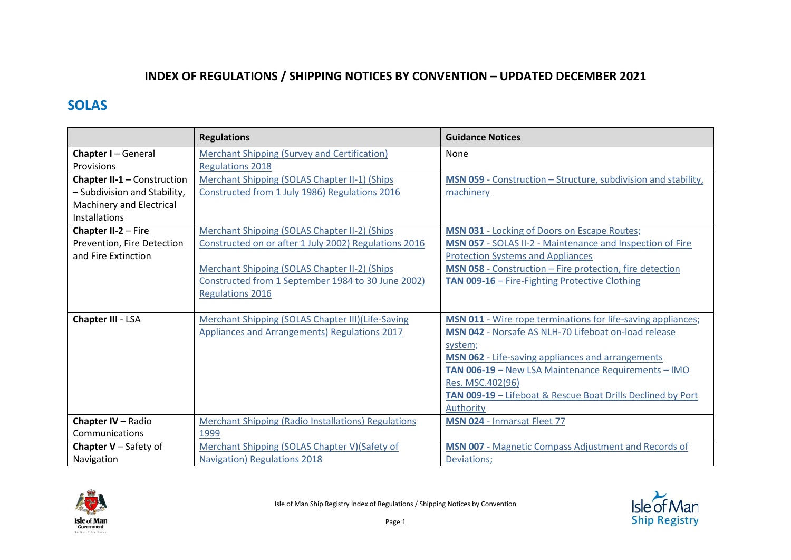## **INDEX OF REGULATIONS / SHIPPING NOTICES BY CONVENTION – UPDATED DECEMBER 2021**

## **SOLAS**

|                              | <b>Regulations</b>                                         | <b>Guidance Notices</b>                                        |
|------------------------------|------------------------------------------------------------|----------------------------------------------------------------|
| <b>Chapter I-General</b>     | Merchant Shipping (Survey and Certification)               | None                                                           |
| Provisions                   | <b>Regulations 2018</b>                                    |                                                                |
| Chapter II-1 - Construction  | Merchant Shipping (SOLAS Chapter II-1) (Ships              | MSN 059 - Construction - Structure, subdivision and stability, |
| - Subdivision and Stability, | Constructed from 1 July 1986) Regulations 2016             | machinery                                                      |
| Machinery and Electrical     |                                                            |                                                                |
| <b>Installations</b>         |                                                            |                                                                |
| Chapter II-2 - Fire          | Merchant Shipping (SOLAS Chapter II-2) (Ships              | <b>MSN 031 - Locking of Doors on Escape Routes;</b>            |
| Prevention, Fire Detection   | Constructed on or after 1 July 2002) Regulations 2016      | MSN 057 - SOLAS II-2 - Maintenance and Inspection of Fire      |
| and Fire Extinction          |                                                            | <b>Protection Systems and Appliances</b>                       |
|                              | Merchant Shipping (SOLAS Chapter II-2) (Ships              | MSN 058 - Construction – Fire protection, fire detection       |
|                              | Constructed from 1 September 1984 to 30 June 2002)         | TAN 009-16 - Fire-Fighting Protective Clothing                 |
|                              | <b>Regulations 2016</b>                                    |                                                                |
|                              |                                                            |                                                                |
| Chapter III - LSA            | Merchant Shipping (SOLAS Chapter III)(Life-Saving          | MSN 011 - Wire rope terminations for life-saving appliances;   |
|                              | Appliances and Arrangements) Regulations 2017              | MSN 042 - Norsafe AS NLH-70 Lifeboat on-load release           |
|                              |                                                            | system;                                                        |
|                              |                                                            | MSN 062 - Life-saving appliances and arrangements              |
|                              |                                                            | TAN 006-19 - New LSA Maintenance Requirements - IMO            |
|                              |                                                            | Res. MSC.402(96)                                               |
|                              |                                                            | TAN 009-19 - Lifeboat & Rescue Boat Drills Declined by Port    |
|                              |                                                            | Authority                                                      |
| Chapter IV - Radio           | <b>Merchant Shipping (Radio Installations) Regulations</b> | MSN 024 - Inmarsat Fleet 77                                    |
| Communications               | 1999                                                       |                                                                |
| <b>Chapter V</b> – Safety of | Merchant Shipping (SOLAS Chapter V)(Safety of              | MSN 007 - Magnetic Compass Adjustment and Records of           |
| Navigation                   | <b>Navigation) Regulations 2018</b>                        | Deviations;                                                    |



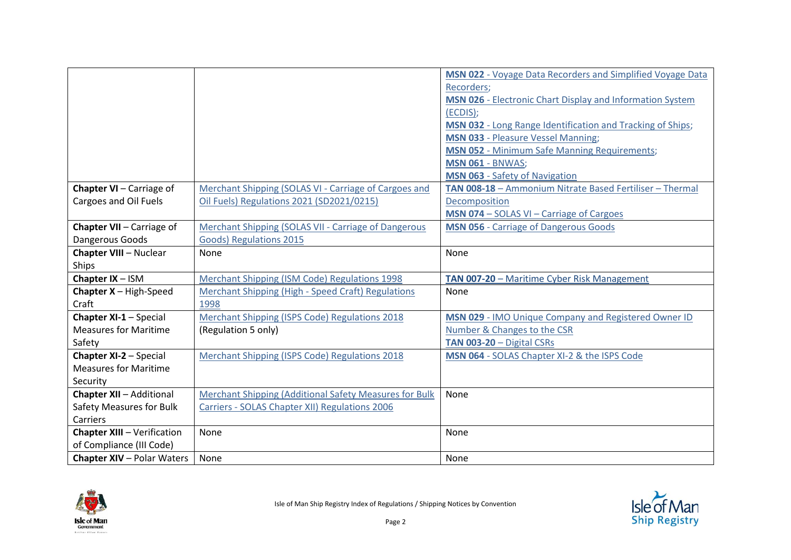|                                            |                                                        | MSN 022 - Voyage Data Recorders and Simplified Voyage Data |
|--------------------------------------------|--------------------------------------------------------|------------------------------------------------------------|
|                                            |                                                        | Recorders;                                                 |
|                                            |                                                        | MSN 026 - Electronic Chart Display and Information System  |
|                                            |                                                        | (ECDIS);                                                   |
|                                            |                                                        | MSN 032 - Long Range Identification and Tracking of Ships; |
|                                            |                                                        | <b>MSN 033 - Pleasure Vessel Manning;</b>                  |
|                                            |                                                        | <b>MSN 052 - Minimum Safe Manning Requirements;</b>        |
|                                            |                                                        | <b>MSN 061 - BNWAS;</b>                                    |
|                                            |                                                        | <b>MSN 063 - Safety of Navigation</b>                      |
| Chapter VI - Carriage of                   | Merchant Shipping (SOLAS VI - Carriage of Cargoes and  | TAN 008-18 - Ammonium Nitrate Based Fertiliser - Thermal   |
| Cargoes and Oil Fuels                      | Oil Fuels) Regulations 2021 (SD2021/0215)              | Decomposition                                              |
|                                            |                                                        | MSN 074 - SOLAS VI - Carriage of Cargoes                   |
| Chapter VII - Carriage of                  | Merchant Shipping (SOLAS VII - Carriage of Dangerous   | <b>MSN 056 - Carriage of Dangerous Goods</b>               |
| Dangerous Goods                            | Goods) Regulations 2015                                |                                                            |
| <b>Chapter VIII - Nuclear</b>              | None                                                   | None                                                       |
| Ships                                      |                                                        |                                                            |
| Chapter IX - ISM                           | Merchant Shipping (ISM Code) Regulations 1998          | TAN 007-20 - Maritime Cyber Risk Management                |
| <b>Chapter <math>X - High-Speed</math></b> | Merchant Shipping (High - Speed Craft) Regulations     | None                                                       |
| Craft                                      | 1998                                                   |                                                            |
| Chapter XI-1 - Special                     | Merchant Shipping (ISPS Code) Regulations 2018         | MSN 029 - IMO Unique Company and Registered Owner ID       |
| <b>Measures for Maritime</b>               | (Regulation 5 only)                                    | Number & Changes to the CSR                                |
| Safety                                     |                                                        | TAN 003-20 - Digital CSRs                                  |
| <b>Chapter XI-2 - Special</b>              | Merchant Shipping (ISPS Code) Regulations 2018         | MSN 064 - SOLAS Chapter XI-2 & the ISPS Code               |
| <b>Measures for Maritime</b>               |                                                        |                                                            |
|                                            |                                                        |                                                            |
| Security                                   |                                                        |                                                            |
| <b>Chapter XII - Additional</b>            | Merchant Shipping (Additional Safety Measures for Bulk | None                                                       |
| <b>Safety Measures for Bulk</b>            | Carriers - SOLAS Chapter XII) Regulations 2006         |                                                            |
| Carriers                                   |                                                        |                                                            |
| <b>Chapter XIII - Verification</b>         | None                                                   | None                                                       |
| of Compliance (III Code)                   |                                                        |                                                            |



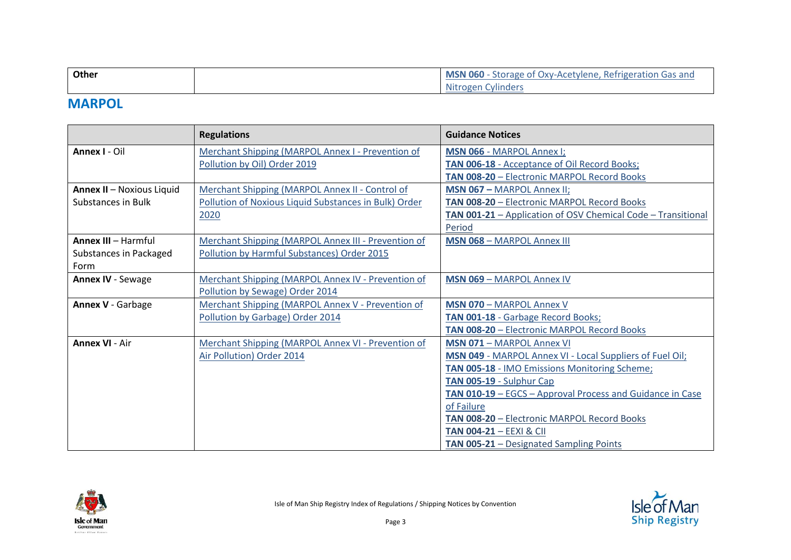| Other    | <b>MSN 060</b> - Storage of Oxy-Acetylene, Refrigeration Gas and |
|----------|------------------------------------------------------------------|
|          | <b>Nitrogen Cylinders</b>                                        |
| -------- |                                                                  |

## **MARPOL**

|                            | <b>Regulations</b>                                    | <b>Guidance Notices</b>                                      |
|----------------------------|-------------------------------------------------------|--------------------------------------------------------------|
| Annex I - Oil              | Merchant Shipping (MARPOL Annex I - Prevention of     | MSN 066 - MARPOL Annex I;                                    |
|                            | Pollution by Oil) Order 2019                          | TAN 006-18 - Acceptance of Oil Record Books;                 |
|                            |                                                       | TAN 008-20 - Electronic MARPOL Record Books                  |
| Annex II - Noxious Liquid  | Merchant Shipping (MARPOL Annex II - Control of       | <b>MSN 067 - MARPOL Annex II;</b>                            |
| <b>Substances in Bulk</b>  | Pollution of Noxious Liquid Substances in Bulk) Order | TAN 008-20 - Electronic MARPOL Record Books                  |
|                            | 2020                                                  | TAN 001-21 - Application of OSV Chemical Code - Transitional |
|                            |                                                       | Period                                                       |
| <b>Annex III - Harmful</b> | Merchant Shipping (MARPOL Annex III - Prevention of   | <b>MSN 068 - MARPOL Annex III</b>                            |
| Substances in Packaged     | Pollution by Harmful Substances) Order 2015           |                                                              |
| Form                       |                                                       |                                                              |
| Annex IV - Sewage          | Merchant Shipping (MARPOL Annex IV - Prevention of    | <b>MSN 069 - MARPOL Annex IV</b>                             |
|                            | Pollution by Sewage) Order 2014                       |                                                              |
| <b>Annex V - Garbage</b>   | Merchant Shipping (MARPOL Annex V - Prevention of     | <b>MSN 070 - MARPOL Annex V</b>                              |
|                            | Pollution by Garbage) Order 2014                      | TAN 001-18 - Garbage Record Books;                           |
|                            |                                                       | TAN 008-20 - Electronic MARPOL Record Books                  |
| <b>Annex VI - Air</b>      | Merchant Shipping (MARPOL Annex VI - Prevention of    | <b>MSN 071 - MARPOL Annex VI</b>                             |
|                            | Air Pollution) Order 2014                             | MSN 049 - MARPOL Annex VI - Local Suppliers of Fuel Oil;     |
|                            |                                                       | TAN 005-18 - IMO Emissions Monitoring Scheme;                |
|                            |                                                       | TAN 005-19 - Sulphur Cap                                     |
|                            |                                                       | TAN 010-19 - EGCS - Approval Process and Guidance in Case    |
|                            |                                                       | of Failure                                                   |
|                            |                                                       | TAN 008-20 - Electronic MARPOL Record Books                  |
|                            |                                                       | <b>TAN 004-21 - EEXI &amp; CII</b>                           |
|                            |                                                       | <b>TAN 005-21</b> - Designated Sampling Points               |



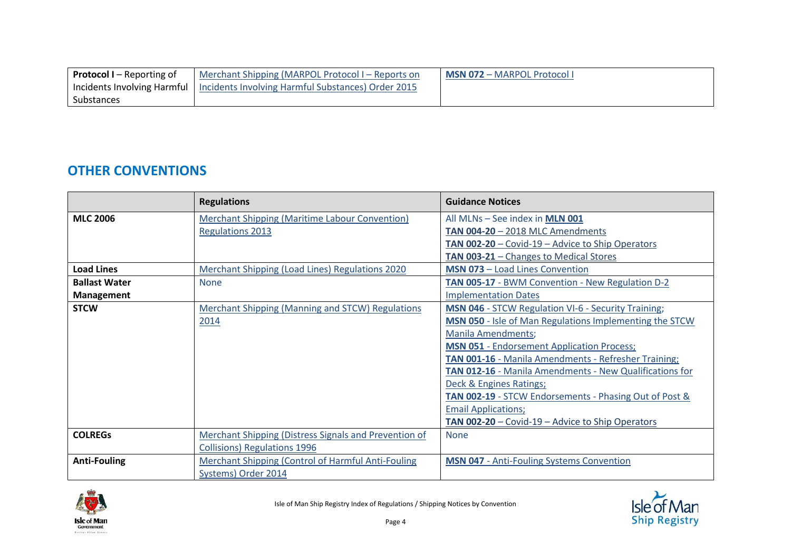| <b>Protocol I</b> – Reporting of | Merchant Shipping (MARPOL Protocol I – Reports on                                | <b>MSN 072 - MARPOL Protocol I</b> |
|----------------------------------|----------------------------------------------------------------------------------|------------------------------------|
|                                  | Incidents Involving Harmful   Incidents Involving Harmful Substances) Order 2015 |                                    |
| Substances                       |                                                                                  |                                    |

## **OTHER CONVENTIONS**

|                      | <b>Regulations</b>                                        | <b>Guidance Notices</b>                                    |
|----------------------|-----------------------------------------------------------|------------------------------------------------------------|
| <b>MLC 2006</b>      | <b>Merchant Shipping (Maritime Labour Convention)</b>     | All MLNs - See index in MLN 001                            |
|                      | <b>Regulations 2013</b>                                   | <b>TAN 004-20 - 2018 MLC Amendments</b>                    |
|                      |                                                           | TAN 002-20 - Covid-19 - Advice to Ship Operators           |
|                      |                                                           | TAN 003-21 - Changes to Medical Stores                     |
| <b>Load Lines</b>    | <b>Merchant Shipping (Load Lines) Regulations 2020</b>    | <b>MSN 073 - Load Lines Convention</b>                     |
| <b>Ballast Water</b> | <b>None</b>                                               | TAN 005-17 - BWM Convention - New Regulation D-2           |
| <b>Management</b>    |                                                           | <b>Implementation Dates</b>                                |
| <b>STCW</b>          | <b>Merchant Shipping (Manning and STCW) Regulations</b>   | <b>MSN 046 - STCW Regulation VI-6 - Security Training;</b> |
|                      | 2014                                                      | MSN 050 - Isle of Man Regulations Implementing the STCW    |
|                      |                                                           | <b>Manila Amendments;</b>                                  |
|                      |                                                           | <b>MSN 051 - Endorsement Application Process;</b>          |
|                      |                                                           | TAN 001-16 - Manila Amendments - Refresher Training;       |
|                      |                                                           | TAN 012-16 - Manila Amendments - New Qualifications for    |
|                      |                                                           | Deck & Engines Ratings;                                    |
|                      |                                                           | TAN 002-19 - STCW Endorsements - Phasing Out of Post &     |
|                      |                                                           | <b>Email Applications;</b>                                 |
|                      |                                                           | TAN 002-20 - Covid-19 - Advice to Ship Operators           |
| <b>COLREGS</b>       | Merchant Shipping (Distress Signals and Prevention of     | <b>None</b>                                                |
|                      | <b>Collisions) Regulations 1996</b>                       |                                                            |
| <b>Anti-Fouling</b>  | <b>Merchant Shipping (Control of Harmful Anti-Fouling</b> | <b>MSN 047 - Anti-Fouling Systems Convention</b>           |
|                      | Systems) Order 2014                                       |                                                            |